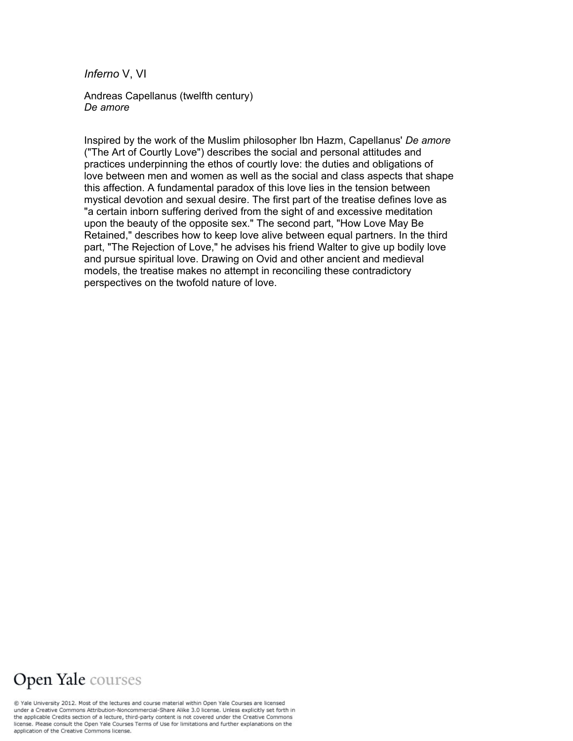*Inferno* V, VI

Andreas Capellanus (twelfth century) *De amore*

Inspired by the work of the Muslim philosopher Ibn Hazm, Capellanus' *De amore* ("The Art of Courtly Love") describes the social and personal attitudes and practices underpinning the ethos of courtly love: the duties and obligations of love between men and women as well as the social and class aspects that shape this affection. A fundamental paradox of this love lies in the tension between mystical devotion and sexual desire. The first part of the treatise defines love as "a certain inborn suffering derived from the sight of and excessive meditation upon the beauty of the opposite sex." The second part, "How Love May Be Retained," describes how to keep love alive between equal partners. In the third part, "The Rejection of Love," he advises his friend Walter to give up bodily love and pursue spiritual love. Drawing on Ovid and other ancient and medieval models, the treatise makes no attempt in reconciling these contradictory perspectives on the twofold nature of love.

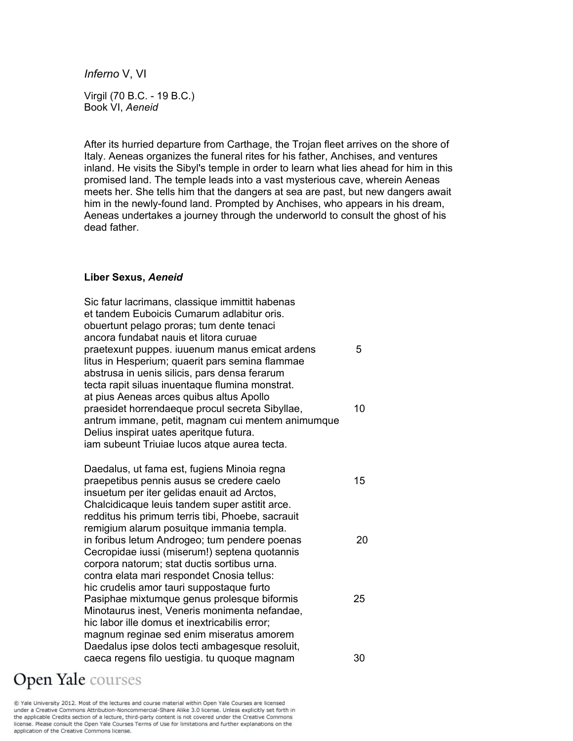*Inferno* V, VI

Virgil (70 B.C. - 19 B.C.) Book VI, *Aeneid*

After its hurried departure from Carthage, the Trojan fleet arrives on the shore of Italy. Aeneas organizes the funeral rites for his father, Anchises, and ventures inland. He visits the Sibyl's temple in order to learn what lies ahead for him in this promised land. The temple leads into a vast mysterious cave, wherein Aeneas meets her. She tells him that the dangers at sea are past, but new dangers await him in the newly-found land. Prompted by Anchises, who appears in his dream, Aeneas undertakes a journey through the underworld to consult the ghost of his dead father.

#### **Liber Sexus,** *Aeneid*

Sic fatur lacrimans, classique immittit habenas et tandem Euboicis Cumarum adlabitur oris. obuertunt pelago proras; tum dente tenaci ancora fundabat nauis et litora curuae praetexunt puppes. iuuenum manus emicat ardens 5 litus in Hesperium; quaerit pars semina flammae abstrusa in uenis silicis, pars densa ferarum tecta rapit siluas inuentaque flumina monstrat. at pius Aeneas arces quibus altus Apollo praesidet horrendaeque procul secreta Sibyllae, 10 antrum immane, petit, magnam cui mentem animumque Delius inspirat uates aperitque futura. iam subeunt Triuiae lucos atque aurea tecta.

Daedalus, ut fama est, fugiens Minoia regna praepetibus pennis ausus se credere caelo 15 insuetum per iter gelidas enauit ad Arctos, Chalcidicaque leuis tandem super astitit arce. redditus his primum terris tibi, Phoebe, sacrauit remigium alarum posuitque immania templa. in foribus letum Androgeo; tum pendere poenas 20 Cecropidae iussi (miserum!) septena quotannis corpora natorum; stat ductis sortibus urna. contra elata mari respondet Cnosia tellus: hic crudelis amor tauri suppostaque furto Pasiphae mixtumque genus prolesque biformis 25 Minotaurus inest, Veneris monimenta nefandae, hic labor ille domus et inextricabilis error; magnum reginae sed enim miseratus amorem Daedalus ipse dolos tecti ambagesque resoluit, caeca regens filo uestigia. tu quoque magnam 30

# **Open Yale** courses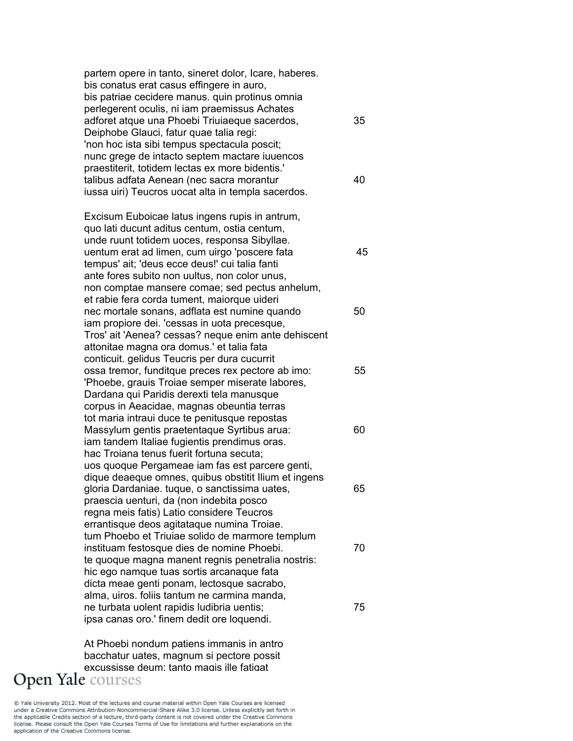partem opere in tanto, sineret dolor, Icare, haberes. bis conatus erat casus effingere in auro, bis patriae cecidere manus. quin protinus omnia perlegerent oculis, ni iam praemissus Achates adforet atque una Phoebi Triuiaeque sacerdos, 35 Deiphobe Glauci, fatur quae talia regi: 'non hoc ista sibi tempus spectacula poscit; nunc grege de intacto septem mactare iuuencos praestiterit, totidem lectas ex more bidentis.' talibus adfata Aenean (nec sacra morantur 40 iussa uiri) Teucros uocat alta in templa sacerdos. Excisum Euboicae latus ingens rupis in antrum, quo lati ducunt aditus centum, ostia centum, unde ruunt totidem uoces, responsa Sibyllae. uentum erat ad limen, cum uirgo 'poscere fata 45 tempus' ait; 'deus ecce deus!' cui talia fanti ante fores subito non uultus, non color unus, non comptae mansere comae; sed pectus anhelum, et rabie fera corda tument, maiorque uideri nec mortale sonans, adflata est numine quando 50 iam propiore dei. 'cessas in uota precesque, Tros' ait 'Aenea? cessas? neque enim ante dehiscent attonitae magna ora domus.' et talia fata conticuit. gelidus Teucris per dura cucurrit ossa tremor, funditque preces rex pectore ab imo: 55 'Phoebe, grauis Troiae semper miserate labores, Dardana qui Paridis derexti tela manusque corpus in Aeacidae, magnas obeuntia terras tot maria intraui duce te penitusque repostas Massylum gentis praetentaque Syrtibus arua: 60 iam tandem Italiae fugientis prendimus oras. hac Troiana tenus fuerit fortuna secuta; uos quoque Pergameae iam fas est parcere genti, dique deaeque omnes, quibus obstitit Ilium et ingens gloria Dardaniae. tuque, o sanctissima uates, 65 praescia uenturi, da (non indebita posco regna meis fatis) Latio considere Teucros errantisque deos agitataque numina Troiae. tum Phoebo et Triuiae solido de marmore templum instituam festosque dies de nomine Phoebi. 70 te quoque magna manent regnis penetralia nostris: hic ego namque tuas sortis arcanaque fata dicta meae genti ponam, lectosque sacrabo, alma, uiros. foliis tantum ne carmina manda, ne turbata uolent rapidis ludibria uentis;  $\frac{75}{ }$ ipsa canas oro.' finem dedit ore loquendi.

At Phoebi nondum patiens immanis in antro bacchatur uates, magnum si pectore possit excussisse deum: tanto magis ille fatigat Open Yale courses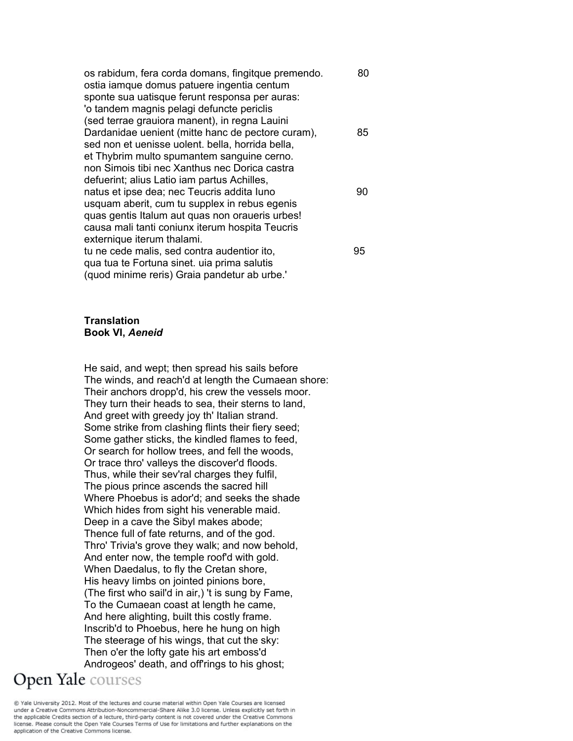os rabidum, fera corda domans, fingitque premendo. 60 ostia iamque domus patuere ingentia centum sponte sua uatisque ferunt responsa per auras: 'o tandem magnis pelagi defuncte periclis (sed terrae grauiora manent), in regna Lauini Dardanidae uenient (mitte hanc de pectore curam), 85 sed non et uenisse uolent. bella, horrida bella, et Thybrim multo spumantem sanguine cerno. non Simois tibi nec Xanthus nec Dorica castra defuerint; alius Latio iam partus Achilles, natus et ipse dea; nec Teucris addita Iuno 90 usquam aberit, cum tu supplex in rebus egenis quas gentis Italum aut quas non oraueris urbes! causa mali tanti coniunx iterum hospita Teucris externique iterum thalami. tu ne cede malis, sed contra audentior ito, 95 qua tua te Fortuna sinet. uia prima salutis (quod minime reris) Graia pandetur ab urbe.'

### **Translation Book VI,** *Aeneid*

He said, and wept; then spread his sails before The winds, and reach'd at length the Cumaean shore: Their anchors dropp'd, his crew the vessels moor. They turn their heads to sea, their sterns to land, And greet with greedy joy th' Italian strand. Some strike from clashing flints their fiery seed; Some gather sticks, the kindled flames to feed, Or search for hollow trees, and fell the woods, Or trace thro' valleys the discover'd floods. Thus, while their sev'ral charges they fulfil, The pious prince ascends the sacred hill Where Phoebus is ador'd; and seeks the shade Which hides from sight his venerable maid. Deep in a cave the Sibyl makes abode; Thence full of fate returns, and of the god. Thro' Trivia's grove they walk; and now behold, And enter now, the temple roof'd with gold. When Daedalus, to fly the Cretan shore, His heavy limbs on jointed pinions bore, (The first who sail'd in air,) 't is sung by Fame, To the Cumaean coast at length he came, And here alighting, built this costly frame. Inscrib'd to Phoebus, here he hung on high The steerage of his wings, that cut the sky: Then o'er the lofty gate his art emboss'd Androgeos' death, and off'rings to his ghost;

# Open Yale courses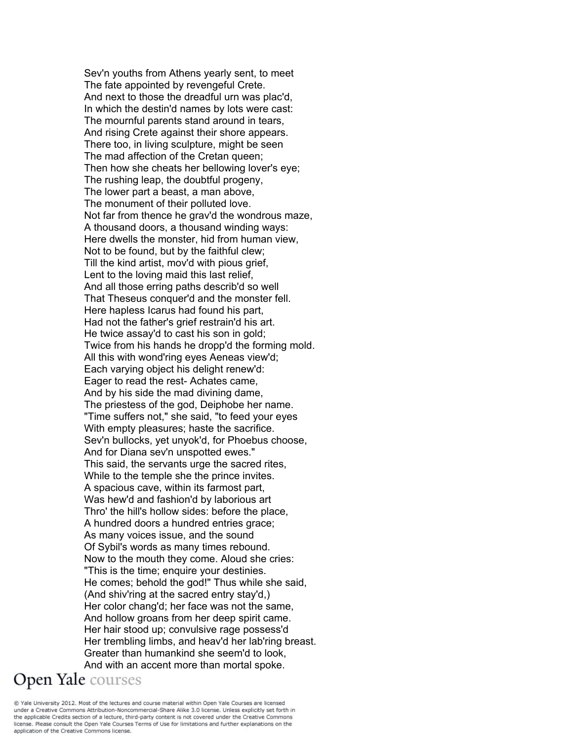Sev'n youths from Athens yearly sent, to meet The fate appointed by revengeful Crete. And next to those the dreadful urn was plac'd, In which the destin'd names by lots were cast: The mournful parents stand around in tears, And rising Crete against their shore appears. There too, in living sculpture, might be seen The mad affection of the Cretan queen; Then how she cheats her bellowing lover's eye; The rushing leap, the doubtful progeny, The lower part a beast, a man above, The monument of their polluted love. Not far from thence he grav'd the wondrous maze, A thousand doors, a thousand winding ways: Here dwells the monster, hid from human view, Not to be found, but by the faithful clew; Till the kind artist, mov'd with pious grief, Lent to the loving maid this last relief, And all those erring paths describ'd so well That Theseus conquer'd and the monster fell. Here hapless Icarus had found his part, Had not the father's grief restrain'd his art. He twice assay'd to cast his son in gold; Twice from his hands he dropp'd the forming mold. All this with wond'ring eyes Aeneas view'd; Each varying object his delight renew'd: Eager to read the rest- Achates came, And by his side the mad divining dame, The priestess of the god, Deiphobe her name. "Time suffers not," she said, "to feed your eyes With empty pleasures; haste the sacrifice. Sev'n bullocks, yet unyok'd, for Phoebus choose, And for Diana sev'n unspotted ewes." This said, the servants urge the sacred rites, While to the temple she the prince invites. A spacious cave, within its farmost part, Was hew'd and fashion'd by laborious art Thro' the hill's hollow sides: before the place, A hundred doors a hundred entries grace; As many voices issue, and the sound Of Sybil's words as many times rebound. Now to the mouth they come. Aloud she cries: "This is the time; enquire your destinies. He comes; behold the god!" Thus while she said, (And shiv'ring at the sacred entry stay'd,) Her color chang'd; her face was not the same, And hollow groans from her deep spirit came. Her hair stood up; convulsive rage possess'd Her trembling limbs, and heav'd her lab'ring breast. Greater than humankind she seem'd to look, And with an accent more than mortal spoke. **Open Yale** courses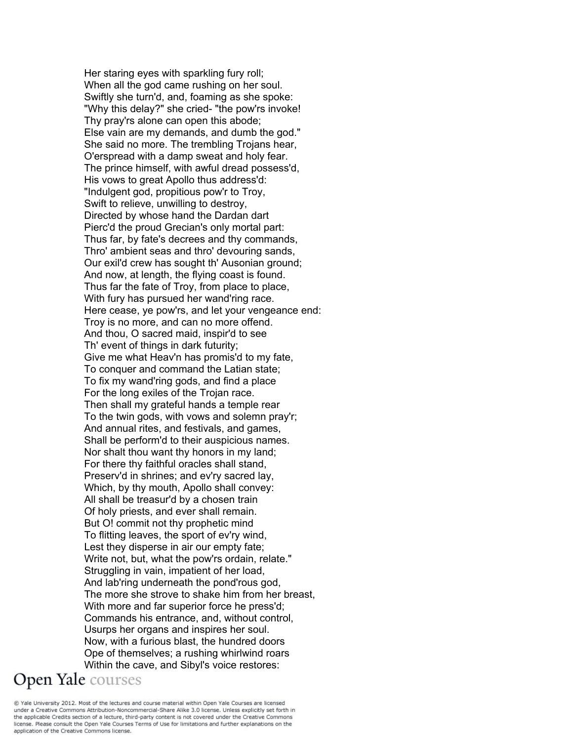Her staring eyes with sparkling fury roll; When all the god came rushing on her soul. Swiftly she turn'd, and, foaming as she spoke: "Why this delay?" she cried- "the pow'rs invoke! Thy pray'rs alone can open this abode; Else vain are my demands, and dumb the god." She said no more. The trembling Trojans hear, O'erspread with a damp sweat and holy fear. The prince himself, with awful dread possess'd, His vows to great Apollo thus address'd: "Indulgent god, propitious pow'r to Troy, Swift to relieve, unwilling to destroy, Directed by whose hand the Dardan dart Pierc'd the proud Grecian's only mortal part: Thus far, by fate's decrees and thy commands, Thro' ambient seas and thro' devouring sands, Our exil'd crew has sought th' Ausonian ground; And now, at length, the flying coast is found. Thus far the fate of Troy, from place to place, With fury has pursued her wand'ring race. Here cease, ye pow'rs, and let your vengeance end: Troy is no more, and can no more offend. And thou, O sacred maid, inspir'd to see Th' event of things in dark futurity; Give me what Heav'n has promis'd to my fate, To conquer and command the Latian state; To fix my wand'ring gods, and find a place For the long exiles of the Trojan race. Then shall my grateful hands a temple rear To the twin gods, with vows and solemn pray'r; And annual rites, and festivals, and games, Shall be perform'd to their auspicious names. Nor shalt thou want thy honors in my land; For there thy faithful oracles shall stand, Preserv'd in shrines; and ev'ry sacred lay, Which, by thy mouth, Apollo shall convey: All shall be treasur'd by a chosen train Of holy priests, and ever shall remain. But O! commit not thy prophetic mind To flitting leaves, the sport of ev'ry wind, Lest they disperse in air our empty fate; Write not, but, what the pow'rs ordain, relate." Struggling in vain, impatient of her load, And lab'ring underneath the pond'rous god, The more she strove to shake him from her breast, With more and far superior force he press'd; Commands his entrance, and, without control, Usurps her organs and inspires her soul. Now, with a furious blast, the hundred doors Ope of themselves; a rushing whirlwind roars Within the cave, and Sibyl's voice restores:

@ Yale University 2012. Most of the lectures and course material within Open Yale Courses are licensed under a Creative Commons Attribution-Noncommercial-Share Alike 3.0 license. Unless explicitly set forth in the applicable Credits section of a lecture, third-party content is not covered under the Creative Commons license. Please consult the Open Yale Courses Terms of Use for limitations and further explanations on the application of the Creative Commons license.

**Open Yale** courses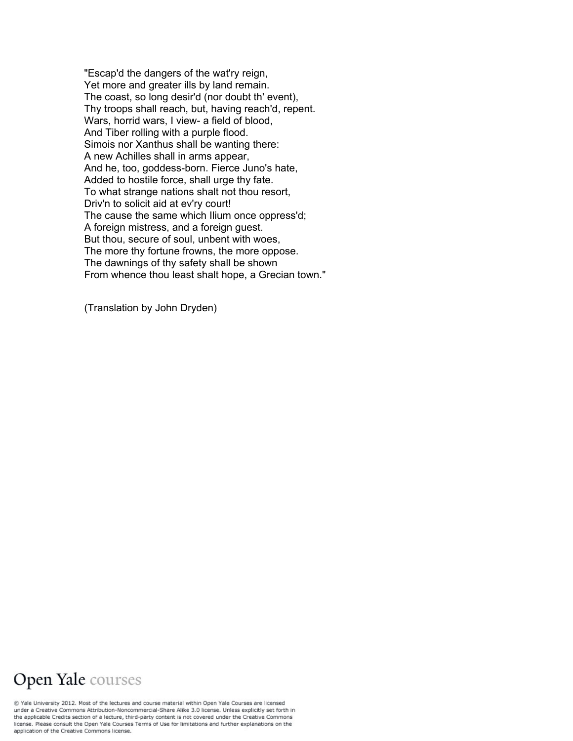"Escap'd the dangers of the wat'ry reign, Yet more and greater ills by land remain. The coast, so long desir'd (nor doubt th' event), Thy troops shall reach, but, having reach'd, repent. Wars, horrid wars, I view- a field of blood, And Tiber rolling with a purple flood. Simois nor Xanthus shall be wanting there: A new Achilles shall in arms appear, And he, too, goddess-born. Fierce Juno's hate, Added to hostile force, shall urge thy fate. To what strange nations shalt not thou resort, Driv'n to solicit aid at ev'ry court! The cause the same which Ilium once oppress'd; A foreign mistress, and a foreign guest. But thou, secure of soul, unbent with woes, The more thy fortune frowns, the more oppose. The dawnings of thy safety shall be shown From whence thou least shalt hope, a Grecian town."

(Translation by John Dryden)

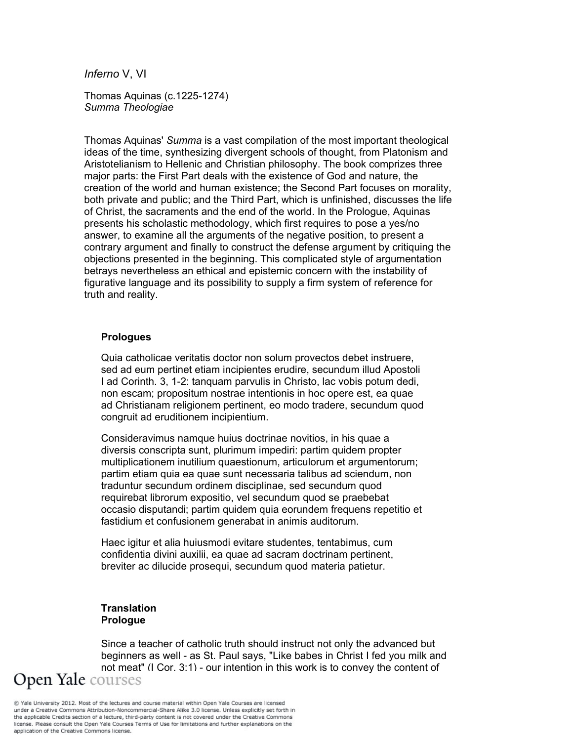*Inferno* V, VI

Thomas Aquinas (c.1225-1274) *Summa Theologiae*

Thomas Aquinas' *Summa* is a vast compilation of the most important theological ideas of the time, synthesizing divergent schools of thought, from Platonism and Aristotelianism to Hellenic and Christian philosophy. The book comprizes three major parts: the First Part deals with the existence of God and nature, the creation of the world and human existence; the Second Part focuses on morality, both private and public; and the Third Part, which is unfinished, discusses the life of Christ, the sacraments and the end of the world. In the Prologue, Aquinas presents his scholastic methodology, which first requires to pose a yes/no answer, to examine all the arguments of the negative position, to present a contrary argument and finally to construct the defense argument by critiquing the objections presented in the beginning. This complicated style of argumentation betrays nevertheless an ethical and epistemic concern with the instability of figurative language and its possibility to supply a firm system of reference for truth and reality.

### **Prologues**

Quia catholicae veritatis doctor non solum provectos debet instruere, sed ad eum pertinet etiam incipientes erudire, secundum illud Apostoli I ad Corinth. 3, 1-2: tanquam parvulis in Christo, lac vobis potum dedi, non escam; propositum nostrae intentionis in hoc opere est, ea quae ad Christianam religionem pertinent, eo modo tradere, secundum quod congruit ad eruditionem incipientium.

Consideravimus namque huius doctrinae novitios, in his quae a diversis conscripta sunt, plurimum impediri: partim quidem propter multiplicationem inutilium quaestionum, articulorum et argumentorum; partim etiam quia ea quae sunt necessaria talibus ad sciendum, non traduntur secundum ordinem disciplinae, sed secundum quod requirebat librorum expositio, vel secundum quod se praebebat occasio disputandi; partim quidem quia eorundem frequens repetitio et fastidium et confusionem generabat in animis auditorum.

Haec igitur et alia huiusmodi evitare studentes, tentabimus, cum confidentia divini auxilii, ea quae ad sacram doctrinam pertinent, breviter ac dilucide prosequi, secundum quod materia patietur.

## **Translation Prologue**

Since a teacher of catholic truth should instruct not only the advanced but beginners as well - as St. Paul says, "Like babes in Christ I fed you milk and not meat" (I Cor. 3:1) - our intention in this work is to convey the content of Open Yale courses